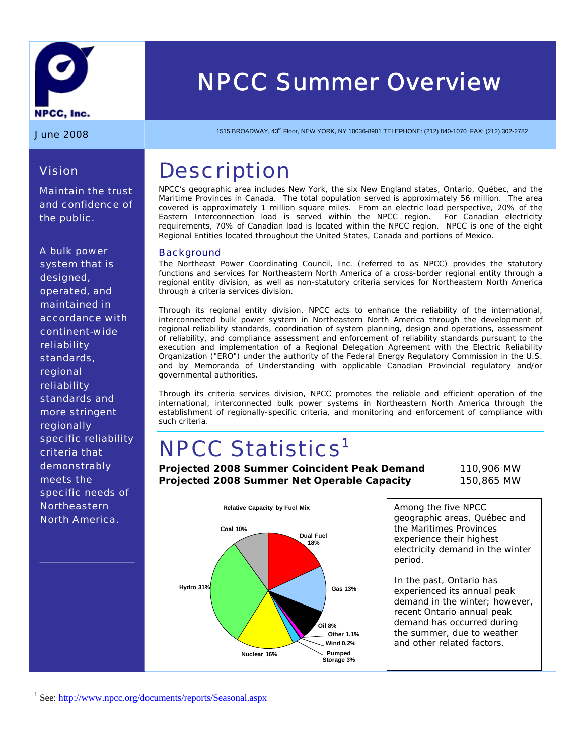

# *NPCC Summer Overview*

*Vision* 

*the public.* 

*Maintain the trust and confidence of* 

**June 2008** 1515 BROADWAY, 43<sup>rd</sup> Floor, NEW YORK, NY 10036-8901 TELEPHONE: (212) 840-1070 FAX: (212) 302-2782

### **Description**

NPCC's geographic area includes New York, the six New England states, Ontario, Québec, and the Maritime Provinces in Canada. The total population served is approximately 56 million. The area covered is approximately 1 million square miles. From an electric load perspective, 20% of the Eastern Interconnection load is served within the NPCC region. For Canadian electricity requirements, 70% of Canadian load is located within the NPCC region. NPCC is one of the eight Regional Entities located throughout the United States, Canada and portions of Mexico.

#### **Background**

The Northeast Power Coordinating Council, Inc. (referred to as NPCC) provides the statutory functions and services for Northeastern North America of a cross-border regional entity through a regional entity division, as well as non-statutory criteria services for Northeastern North America through a criteria services division.

Through its regional entity division, NPCC acts to enhance the reliability of the international, interconnected bulk power system in Northeastern North America through the development of regional reliability standards, coordination of system planning, design and operations, assessment of reliability, and compliance assessment and enforcement of reliability standards pursuant to the execution and implementation of a Regional Delegation Agreement with the Electric Reliability Organization ("ERO") under the authority of the Federal Energy Regulatory Commission in the U.S. and by Memoranda of Understanding with applicable Canadian Provincial regulatory and/or governmental authorities.

Through its criteria services division, NPCC promotes the reliable and efficient operation of the international, interconnected bulk power systems in Northeastern North America through the establishment of regionally-specific criteria, and monitoring and enforcement of compliance with such criteria.

# **NPCC Statistics<sup>1</sup>**

**Projected 2008 Summer Coincident Peak Demand** 110,906 MW **Projected 2008 Summer Net Operable Capacity** 150,865 MW



Among the five NPCC geographic areas, Québec and the Maritimes Provinces experience their highest electricity demand in the winter period.

In the past, Ontario has experienced its annual peak demand in the winter; however, recent Ontario annual peak demand has occurred during the summer, due to weather and other related factors.

*A bulk power system that is designed, operated, and maintained in accordance with continent-wide reliability standards, regional reliability standards and more stringent regionally specific reliability criteria that demonstrably meets the specific needs of Northeastern North America.* 

 $\overline{a}$ 

<sup>1</sup> See: http://www.npcc.org/documents/reports/Seasonal.aspx